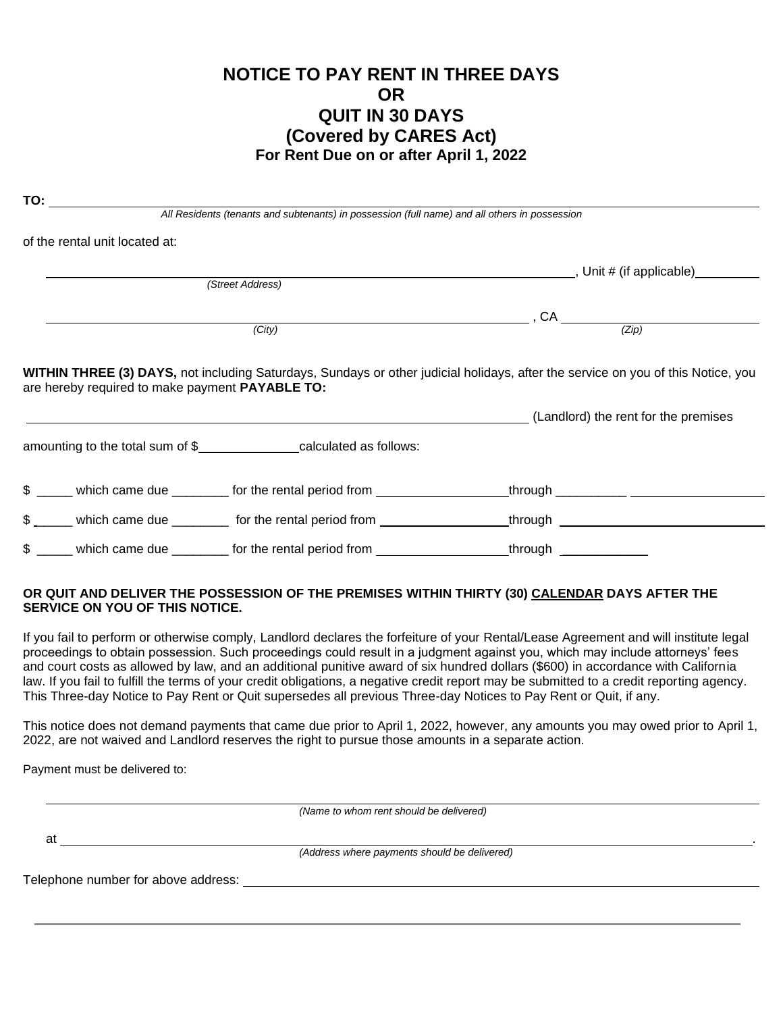### **NOTICE TO PAY RENT IN THREE DAYS OR QUIT IN 30 DAYS** (Covered by CARES Act) For Rent Due on or after April 1, 2022

| $\overline{10}$ .                               | All Residents (tenants and subtenants) in possession (full name) and all others in possession        |                                      |
|-------------------------------------------------|------------------------------------------------------------------------------------------------------|--------------------------------------|
| of the rental unit located at:                  |                                                                                                      |                                      |
|                                                 |                                                                                                      |                                      |
|                                                 | (Street Address)                                                                                     |                                      |
|                                                 |                                                                                                      | $, CA$ (Zip)                         |
| (City)                                          |                                                                                                      |                                      |
| are hereby required to make payment PAYABLE TO: |                                                                                                      | (Landlord) the rent for the premises |
|                                                 | amounting to the total sum of \$_________________calculated as follows:                              |                                      |
|                                                 |                                                                                                      |                                      |
|                                                 |                                                                                                      |                                      |
|                                                 | \$ _____ which came due ________ for the rental period from ___________________through _____________ |                                      |
|                                                 |                                                                                                      |                                      |

#### OR QUIT AND DELIVER THE POSSESSION OF THE PREMISES WITHIN THIRTY (30) CALENDAR DAYS AFTER THE **SERVICE ON YOU OF THIS NOTICE.**

If you fail to perform or otherwise comply, Landlord declares the forfeiture of your Rental/Lease Agreement and will institute legal proceedings to obtain possession. Such proceedings could result in a judgment against you, which may include attorneys' fees and court costs as allowed by law, and an additional punitive award of six hundred dollars (\$600) in accordance with California law. If you fail to fulfill the terms of your credit obligations, a negative credit report may be submitted to a credit reporting agency. This Three-day Notice to Pay Rent or Quit supersedes all previous Three-day Notices to Pay Rent or Quit, if any.

This notice does not demand payments that came due prior to April 1, 2022, however, any amounts you may owed prior to April 1, 2022, are not waived and Landlord reserves the right to pursue those amounts in a separate action.

Payment must be delivered to:

(Name to whom rent should be delivered)

at

 $\mathbf{r}$ 

(Address where payments should be delivered)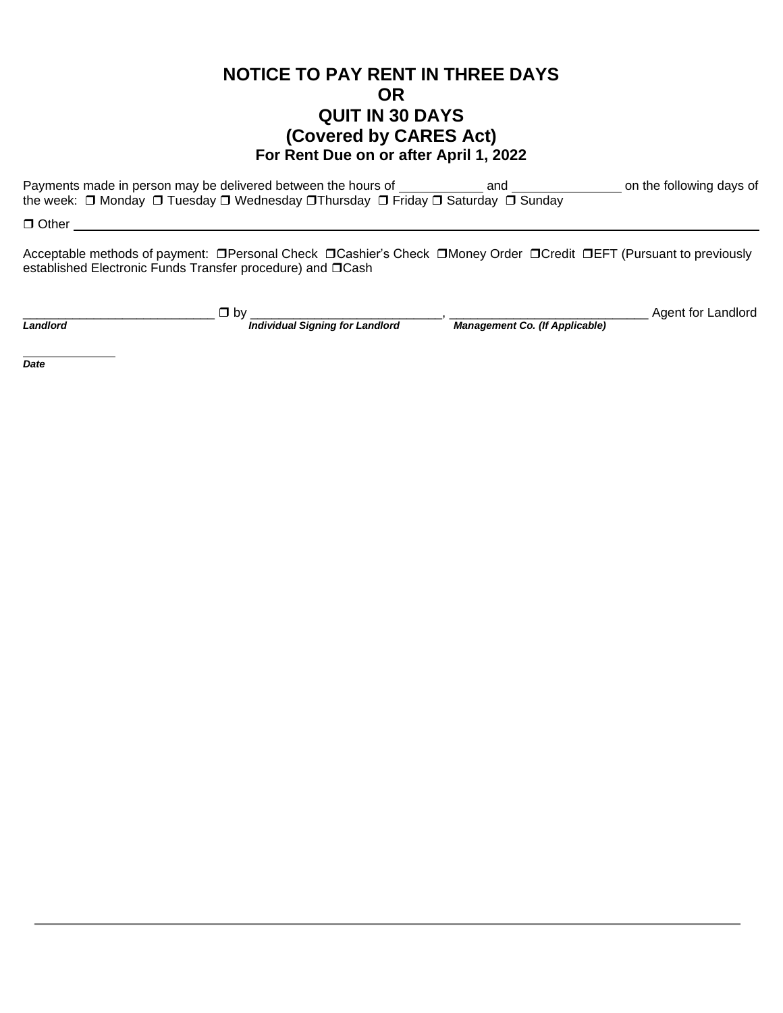## **NOTICE TO PAY RENT IN THREE DAYS OR QUIT IN 30 DAYS** (Covered by CARES Act) For Rent Due on or after April 1, 2022

Payments made in person may be delivered between the hours of on the following days of and the week: □ Monday □ Tuesday □ Wednesday □ Thursday □ Friday □ Saturday □ Sunday

 $\Box$  Other  $\Box$ 

Acceptable methods of payment: □ Personal Check □ Cashier's Check □ Money Order □ Credit □ EFT (Pursuant to previously established Electronic Funds Transfer procedure) and DCash

Landlord

 $\overline{\phantom{a}}$  Dy  $\overline{\phantom{a}}$  Individual Signing for Landlord

Management Co. (If Applicable)

Agent for Landlord

**Date**